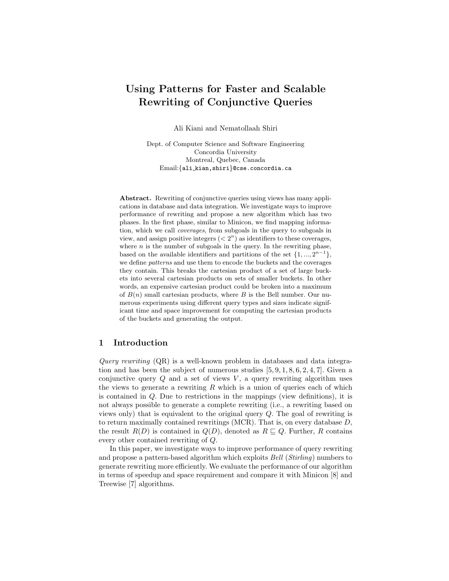# Using Patterns for Faster and Scalable Rewriting of Conjunctive Queries

Ali Kiani and Nematollaah Shiri

Dept. of Computer Science and Software Engineering Concordia University Montreal, Quebec, Canada Email:{ali kian,shiri}@cse.concordia.ca

Abstract. Rewriting of conjunctive queries using views has many applications in database and data integration. We investigate ways to improve performance of rewriting and propose a new algorithm which has two phases. In the first phase, similar to Minicon, we find mapping information, which we call coverages, from subgoals in the query to subgoals in view, and assign positive integers  $( $2^n$ ) as identifiers to these coverages,$ where  $n$  is the number of subgoals in the query. In the rewriting phase, based on the available identifiers and partitions of the set  $\{1, ..., 2^{n-1}\},$ we define patterns and use them to encode the buckets and the coverages they contain. This breaks the cartesian product of a set of large buckets into several cartesian products on sets of smaller buckets. In other words, an expensive cartesian product could be broken into a maximum of  $B(n)$  small cartesian products, where B is the Bell number. Our numerous experiments using different query types and sizes indicate significant time and space improvement for computing the cartesian products of the buckets and generating the output.

## 1 Introduction

Query rewriting  $(QR)$  is a well-known problem in databases and data integration and has been the subject of numerous studies  $[5, 9, 1, 8, 6, 2, 4, 7]$ . Given a conjunctive query  $Q$  and a set of views  $V$ , a query rewriting algorithm uses the views to generate a rewriting  $R$  which is a union of queries each of which is contained in Q. Due to restrictions in the mappings (view definitions), it is not always possible to generate a complete rewriting (i.e., a rewriting based on views only) that is equivalent to the original query Q. The goal of rewriting is to return maximally contained rewritings (MCR). That is, on every database D, the result  $R(D)$  is contained in  $Q(D)$ , denoted as  $R \sqsubseteq Q$ . Further, R contains every other contained rewriting of Q.

In this paper, we investigate ways to improve performance of query rewriting and propose a pattern-based algorithm which exploits Bell (Stirling) numbers to generate rewriting more efficiently. We evaluate the performance of our algorithm in terms of speedup and space requirement and compare it with Minicon [8] and Treewise [7] algorithms.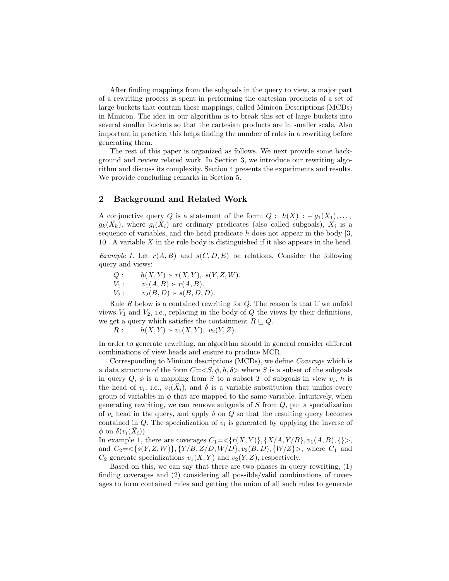After finding mappings from the subgoals in the query to view, a major part of a rewriting process is spent in performing the cartesian products of a set of large buckets that contain these mappings, called Minicon Descriptions (MCDs) in Minicon. The idea in our algorithm is to break this set of large buckets into several smaller buckets so that the cartesian products are in smaller scale. Also important in practice, this helps finding the number of rules in a rewriting before generating them.

The rest of this paper is organized as follows. We next provide some background and review related work. In Section 3, we introduce our rewriting algorithm and discuss its complexity. Section 4 presents the experiments and results. We provide concluding remarks in Section 5.

## 2 Background and Related Work

A conjunctive query Q is a statement of the form:  $Q: h(\bar{X}) : -g_1(\bar{X_1}), \ldots$ ,  $g_k(\bar{X}_k)$ , where  $g_i(\bar{X}_i)$  are ordinary predicates (also called subgoals),  $\bar{X}_i$  is a sequence of variables, and the head predicate  $h$  does not appear in the body  $[3,$ 10]. A variable  $X$  in the rule body is distinguished if it also appears in the head.

Example 1. Let  $r(A, B)$  and  $s(C, D, E)$  be relations. Consider the following query and views:

 $Q: h(X, Y) : r(X, Y), s(Y, Z, W).$  $V_1: \qquad v_1(A, B): r(A, B).$  $V_2: \quad v_2(B, D) := s(B, D, D).$ 

Rule R below is a contained rewriting for  $Q$ . The reason is that if we unfold views  $V_1$  and  $V_2$ , i.e., replacing in the body of  $Q$  the views by their definitions, we get a query which satisfies the containment  $R \sqsubseteq Q$ .

 $R: h(X, Y) - v_1(X, Y), v_2(Y, Z).$ 

In order to generate rewriting, an algorithm should in general consider different combinations of view heads and ensure to produce MCR.

Corresponding to Minicon descriptions (MCDs), we define Coverage which is a data structure of the form  $C=$  where S is a subset of the subgoals in query  $Q, \phi$  is a mapping from S to a subset T of subgoals in view  $v_i$ , h is the head of  $v_i$ , i.e.,  $v_i(\bar{X}_i)$ , and  $\delta$  is a variable substitution that unifies every group of variables in  $\phi$  that are mapped to the same variable. Intuitively, when generating rewriting, we can remove subgoals of  $S$  from  $Q$ , put a specialization of  $v_i$  head in the query, and apply  $\delta$  on  $Q$  so that the resulting query becomes contained in  $Q$ . The specialization of  $v_i$  is generated by applying the inverse of  $\phi$  on  $\delta(v_i(\bar{X}_i))$ .

In example 1, there are coverages  $C_1 = \{r(X, Y)\}, \{X/A, Y/B\}, v_1(A, B), \{\}\rangle$ , and  $C_2 = \{s(Y, Z, W)\}, \{Y/B, Z/D, W/D\}, v_2(B, D), \{W/Z\}$ , where  $C_1$  and  $C_2$  generate specializations  $v_1(X, Y)$  and  $v_2(Y, Z)$ , respectively.

Based on this, we can say that there are two phases in query rewriting, (1) finding coverages and (2) considering all possible/valid combinations of coverages to form contained rules and getting the union of all such rules to generate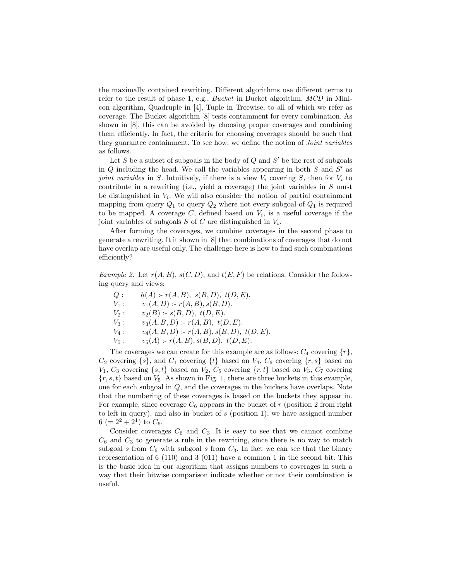the maximally contained rewriting. Different algorithms use different terms to refer to the result of phase 1, e.g., *Bucket* in Bucket algorithm,  $MCD$  in Minicon algorithm, Quadruple in [4], Tuple in Treewise, to all of which we refer as coverage. The Bucket algorithm [8] tests containment for every combination. As shown in [8], this can be avoided by choosing proper coverages and combining them efficiently. In fact, the criteria for choosing coverages should be such that they guarantee containment. To see how, we define the notion of *Joint variables* as follows.

Let S be a subset of subgoals in the body of  $Q$  and  $S'$  be the rest of subgoals in  $Q$  including the head. We call the variables appearing in both  $S$  and  $S'$  as joint variables in S. Intuitively, if there is a view  $V_i$  covering S, then for  $V_i$  to contribute in a rewriting (i.e., yield a coverage) the joint variables in  $S$  must be distinguished in  $V_i$ . We will also consider the notion of partial containment mapping from query  $Q_1$  to query  $Q_2$  where not every subgoal of  $Q_1$  is required to be mapped. A coverage  $C$ , defined based on  $V_i$ , is a useful coverage if the joint variables of subgoals  $S$  of  $C$  are distinguished in  $V_i$ .

After forming the coverages, we combine coverages in the second phase to generate a rewriting. It it shown in [8] that combinations of coverages that do not have overlap are useful only. The challenge here is how to find such combinations efficiently?

Example 2. Let  $r(A, B)$ ,  $s(C, D)$ , and  $t(E, F)$  be relations. Consider the following query and views:

| Q:      | $h(A)$ : $r(A, B)$ , $s(B, D)$ , $t(D, E)$ .   |
|---------|------------------------------------------------|
| $V_1$ : | $v_1(A, D)$ : $r(A, B), s(B, D)$ .             |
| $V_2$ : | $v_2(B)$ :- $s(B, D), t(D, E).$                |
| $V_3$ : | $v_3(A, B, D)$ : $r(A, B), t(D, E)$ .          |
| $V_4$ : | $v_4(A, B, D)$ : $r(A, B), s(B, D), t(D, E)$ . |
| $V_5$ : | $v_5(A)$ :- $r(A, B), s(B, D), t(D, E)$ .      |

The coverages we can create for this example are as follows:  $C_4$  covering  $\{r\}$ ,  $C_2$  covering  $\{s\}$ , and  $C_1$  covering  $\{t\}$  based on  $V_4$ ,  $C_6$  covering  $\{r, s\}$  based on  $V_1, C_3$  covering  $\{s, t\}$  based on  $V_2, C_5$  covering  $\{r, t\}$  based on  $V_3, C_7$  covering  $\{r, s, t\}$  based on  $V_5$ . As shown in Fig. 1, there are three buckets in this example, one for each subgoal in Q, and the coverages in the buckets have overlaps. Note that the numbering of these coverages is based on the buckets they appear in. For example, since coverage  $C_6$  appears in the bucket of r (position 2 from right to left in query), and also in bucket of  $s$  (position 1), we have assigned number  $6 (= 2^2 + 2^1)$  to  $C_6$ .

Consider coverages  $C_6$  and  $C_3$ . It is easy to see that we cannot combine  $C_6$  and  $C_3$  to generate a rule in the rewriting, since there is no way to match subgoal s from  $C_6$  with subgoal s from  $C_3$ . In fact we can see that the binary representation of 6 (110) and 3 (011) have a common 1 in the second bit. This is the basic idea in our algorithm that assigns numbers to coverages in such a way that their bitwise comparison indicate whether or not their combination is useful.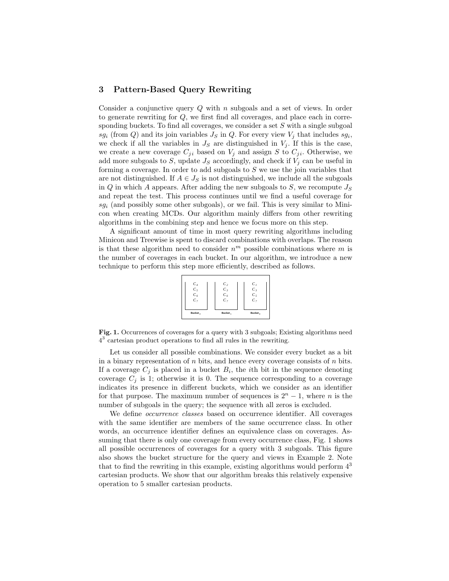## 3 Pattern-Based Query Rewriting

Consider a conjunctive query  $Q$  with n subgoals and a set of views. In order to generate rewriting for Q, we first find all coverages, and place each in corresponding buckets. To find all coverages, we consider a set S with a single subgoal  $sg_i$  (from Q) and its join variables  $J_S$  in Q. For every view  $V_j$  that includes  $sg_i$ , we check if all the variables in  $J<sub>S</sub>$  are distinguished in  $V<sub>j</sub>$ . If this is the case, we create a new coverage  $C_{ji}$  based on  $V_j$  and assign S to  $C_{ji}$ . Otherwise, we add more subgoals to S, update  $J<sub>S</sub>$  accordingly, and check if  $V<sub>j</sub>$  can be useful in forming a coverage. In order to add subgoals to S we use the join variables that are not distinguished. If  $A \in J_S$  is not distinguished, we include all the subgoals in Q in which A appears. After adding the new subgoals to  $S$ , we recompute  $J_S$ and repeat the test. This process continues until we find a useful coverage for  $sg_i$  (and possibly some other subgoals), or we fail. This is very similar to Minicon when creating MCDs. Our algorithm mainly differs from other rewriting algorithms in the combining step and hence we focus more on this step.

A significant amount of time in most query rewriting algorithms including Minicon and Treewise is spent to discard combinations with overlaps. The reason is that these algorithm need to consider  $n^m$  possible combinations where m is the number of coverages in each bucket. In our algorithm, we introduce a new technique to perform this step more efficiently, described as follows.



Fig. 1. Occurrences of coverages for a query with 3 subgoals; Existing algorithms need  $4<sup>3</sup>$  cartesian product operations to find all rules in the rewriting.

Let us consider all possible combinations. We consider every bucket as a bit in a binary representation of  $n$  bits, and hence every coverage consists of  $n$  bits. If a coverage  $C_j$  is placed in a bucket  $B_i$ , the *i*th bit in the sequence denoting coverage  $C_i$  is 1; otherwise it is 0. The sequence corresponding to a coverage indicates its presence in different buckets, which we consider as an identifier for that purpose. The maximum number of sequences is  $2<sup>n</sup> - 1$ , where *n* is the number of subgoals in the query; the sequence with all zeros is excluded.

We define *occurrence classes* based on occurrence identifier. All coverages with the same identifier are members of the same occurrence class. In other words, an occurrence identifier defines an equivalence class on coverages. Assuming that there is only one coverage from every occurrence class, Fig. 1 shows all possible occurrences of coverages for a query with 3 subgoals. This figure also shows the bucket structure for the query and views in Example 2. Note that to find the rewriting in this example, existing algorithms would perform  $4<sup>3</sup>$ cartesian products. We show that our algorithm breaks this relatively expensive operation to 5 smaller cartesian products.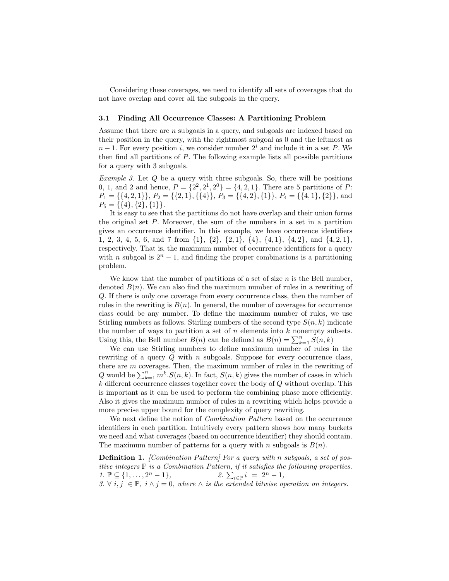Considering these coverages, we need to identify all sets of coverages that do not have overlap and cover all the subgoals in the query.

#### 3.1 Finding All Occurrence Classes: A Partitioning Problem

Assume that there are  $n$  subgoals in a query, and subgoals are indexed based on their position in the query, with the rightmost subgoal as 0 and the leftmost as  $n-1$ . For every position i, we consider number  $2<sup>i</sup>$  and include it in a set P. We then find all partitions of P. The following example lists all possible partitions for a query with 3 subgoals.

*Example 3.* Let  $Q$  be a query with three subgoals. So, there will be positions 0, 1, and 2 and hence,  $P = \{2^2, 2^1, 2^0\} = \{4, 2, 1\}$ . There are 5 partitions of P:  $P_1 = \{\{4, 2, 1\}\}, P_2 = \{\{2, 1\}, \{\{4\}\}, P_3 = \{\{4, 2\}, \{1\}\}, P_4 = \{\{4, 1\}, \{2\}\}, \text{and}$  $P_5 = \{\{4\}, \{2\}, \{1\}\}.$ 

It is easy to see that the partitions do not have overlap and their union forms the original set  $P$ . Moreover, the sum of the numbers in a set in a partition gives an occurrence identifier. In this example, we have occurrence identifiers 1, 2, 3, 4, 5, 6, and 7 from {1}, {2}, {2, 1}, {4}, {4, 1}, {4, 2}, and {4, 2, 1}, respectively. That is, the maximum number of occurrence identifiers for a query with n subgoal is  $2^{n} - 1$ , and finding the proper combinations is a partitioning problem.

We know that the number of partitions of a set of size  $n$  is the Bell number, denoted  $B(n)$ . We can also find the maximum number of rules in a rewriting of Q. If there is only one coverage from every occurrence class, then the number of rules in the rewriting is  $B(n)$ . In general, the number of coverages for occurrence class could be any number. To define the maximum number of rules, we use Stirling numbers as follows. Stirling numbers of the second type  $S(n, k)$  indicate the number of ways to partition a set of  $n$  elements into  $k$  nonempty subsets. Using this, the Bell number  $B(n)$  can be defined as  $B(n) = \sum_{k=1}^{n} S(n, k)$ 

We can use Stirling numbers to define maximum number of rules in the rewriting of a query  $Q$  with n subgoals. Suppose for every occurrence class, there are m coverages. Then, the maximum number of rules in the rewriting of there are *m* coverages. Then, the maximum number of rules in the rewriting of  $Q$  would be  $\sum_{k=1}^{n} m^k S(n, k)$ . In fact,  $S(n, k)$  gives the number of cases in which  $k$  different occurrence classes together cover the body of  $Q$  without overlap. This is important as it can be used to perform the combining phase more efficiently. Also it gives the maximum number of rules in a rewriting which helps provide a more precise upper bound for the complexity of query rewriting.

We next define the notion of Combination Pattern based on the occurrence identifiers in each partition. Intuitively every pattern shows how many buckets we need and what coverages (based on occurrence identifier) they should contain. The maximum number of patterns for a query with n subgoals is  $B(n)$ .

Definition 1. [Combination Pattern] For a query with n subgoals, a set of positive integers  $\mathbb P$  is a Combination Pattern, if it satisfies the following properties. two megers  $\mathbb{F}$  is a Comomation Pattern, y it satisfies the <br>1.  $\mathbb{P} \subseteq \{1, \ldots, 2^n - 1\}$ , <br>2.  $\sum_{i \in \mathbb{P}} i = 2^n - 1$ , 3.  $\forall i, j \in \mathbb{P}, i \wedge j = 0$ , where  $\wedge$  is the extended bitwise operation on integers.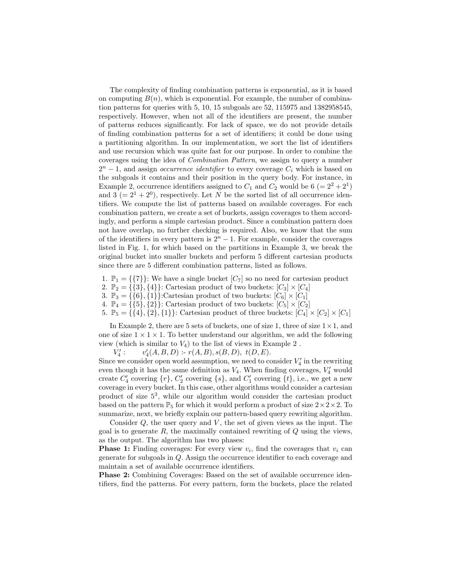The complexity of finding combination patterns is exponential, as it is based on computing  $B(n)$ , which is exponential. For example, the number of combination patterns for queries with 5, 10, 15 subgoals are 52, 115975 and 1382958545, respectively. However, when not all of the identifiers are present, the number of patterns reduces significantly. For lack of space, we do not provide details of finding combination patterns for a set of identifiers; it could be done using a partitioning algorithm. In our implementation, we sort the list of identifiers and use recursion which was quite fast for our purpose. In order to combine the coverages using the idea of Combination Pattern, we assign to query a number  $2^n - 1$ , and assign *occurrence identifier* to every coverage  $C_i$  which is based on the subgoals it contains and their position in the query body. For instance, in Example 2, occurrence identifiers assigned to  $C_1$  and  $C_2$  would be  $6 (= 2^2 + 2^1)$ and  $3 (= 2<sup>1</sup> + 2<sup>0</sup>)$ , respectively. Let N be the sorted list of all occurrence identifiers. We compute the list of patterns based on available coverages. For each combination pattern, we create a set of buckets, assign coverages to them accordingly, and perform a simple cartesian product. Since a combination pattern does not have overlap, no further checking is required. Also, we know that the sum of the identifiers in every pattern is  $2<sup>n</sup> - 1$ . For example, consider the coverages listed in Fig. 1, for which based on the partitions in Example 3, we break the original bucket into smaller buckets and perform 5 different cartesian products since there are 5 different combination patterns, listed as follows.

- 1.  $\mathbb{P}_1 = \{\{7\}\}\$ : We have a single bucket  $[C_7]$  so no need for cartesian product
- 2.  $\mathbb{P}_2 = \{\{3\}, \{4\}\}\$ : Cartesian product of two buckets:  $[C_3] \times [C_4]$
- 3.  $\mathbb{P}_3 = \{\{6\}, \{1\}\}\$ :Cartesian product of two buckets:  $[C_6] \times [C_1]$
- 4.  $\mathbb{P}_4 = \{\{5\}, \{2\}\}\$ : Cartesian product of two buckets:  $[C_5] \times [C_2]$
- 5.  $\mathbb{P}_5 = \{\{4\}, \{2\}, \{1\}\}\$ : Cartesian product of three buckets:  $[C_4] \times [C_2] \times [C_1]$

In Example 2, there are 5 sets of buckets, one of size 1, three of size  $1 \times 1$ , and one of size  $1 \times 1 \times 1$ . To better understand our algorithm, we add the following view (which is similar to  $V_4$ ) to the list of views in Example 2.

 $\overline{V'_4}$ :  $v'_4(A, B, D)$  :-  $r(A, B), s(B, D), t(D, E).$ 

Since we consider open world assumption, we need to consider  $V_4'$  in the rewriting even though it has the same definition as  $V_4$ . When finding coverages,  $V'_4$  would create  $C_4'$  covering  $\{r\}$ ,  $C_2'$  covering  $\{s\}$ , and  $C_1'$  covering  $\{t\}$ , i.e., we get a new coverage in every bucket. In this case, other algorithms would consider a cartesian product of size 5<sup>3</sup> , while our algorithm would consider the cartesian product based on the pattern  $\mathbb{P}_5$  for which it would perform a product of size  $2 \times 2 \times 2$ . To summarize, next, we briefly explain our pattern-based query rewriting algorithm.

Consider  $Q$ , the user query and  $V$ , the set of given views as the input. The goal is to generate  $R$ , the maximally contained rewriting of  $Q$  using the views, as the output. The algorithm has two phases:

**Phase 1:** Finding coverages: For every view  $v_i$ , find the coverages that  $v_i$  can generate for subgoals in Q. Assign the occurrence identifier to each coverage and maintain a set of available occurrence identifiers.

Phase 2: Combining Coverages: Based on the set of available occurrence identifiers, find the patterns. For every pattern, form the buckets, place the related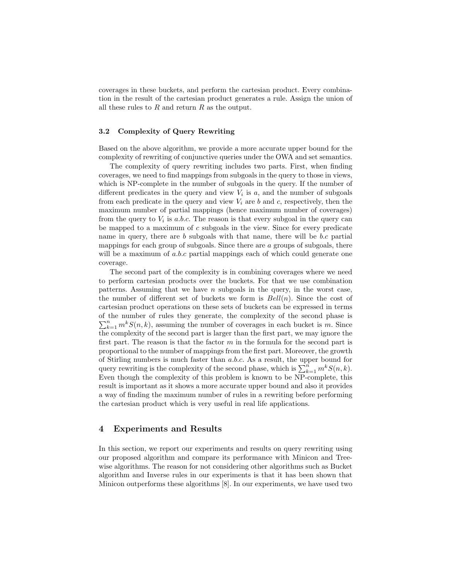coverages in these buckets, and perform the cartesian product. Every combination in the result of the cartesian product generates a rule. Assign the union of all these rules to  $R$  and return  $R$  as the output.

#### 3.2 Complexity of Query Rewriting

Based on the above algorithm, we provide a more accurate upper bound for the complexity of rewriting of conjunctive queries under the OWA and set semantics.

The complexity of query rewriting includes two parts. First, when finding coverages, we need to find mappings from subgoals in the query to those in views, which is NP-complete in the number of subgoals in the query. If the number of different predicates in the query and view  $V_i$  is  $a$ , and the number of subgoals from each predicate in the query and view  $V_i$  are  $b$  and  $c$ , respectively, then the maximum number of partial mappings (hence maximum number of coverages) from the query to  $V_i$  is a.b.c. The reason is that every subgoal in the query can be mapped to a maximum of  $c$  subgoals in the view. Since for every predicate name in query, there are  $b$  subgoals with that name, there will be  $b.c$  partial mappings for each group of subgoals. Since there are a groups of subgoals, there will be a maximum of a.b.c partial mappings each of which could generate one coverage.

The second part of the complexity is in combining coverages where we need to perform cartesian products over the buckets. For that we use combination patterns. Assuming that we have  $n$  subgoals in the query, in the worst case, the number of different set of buckets we form is  $Bell(n)$ . Since the cost of cartesian product operations on these sets of buckets can be expressed in terms of the number of rules they generate, the complexity of the second phase is of the number of rules they generate, the complexity of the second phase is  $\sum_{k=1}^{n} m^{k} S(n, k)$ , assuming the number of coverages in each bucket is m. Since the complexity of the second part is larger than the first part, we may ignore the first part. The reason is that the factor  $m$  in the formula for the second part is proportional to the number of mappings from the first part. Moreover, the growth of Stirling numbers is much faster than a.b.c. As a result, the upper bound for or surfluit in modes in the complexity of the second phase, which is  $\sum_{k=1}^{n} m^{k} S(n, k)$ . Even though the complexity of this problem is known to be NP-complete, this result is important as it shows a more accurate upper bound and also it provides a way of finding the maximum number of rules in a rewriting before performing the cartesian product which is very useful in real life applications.

## 4 Experiments and Results

In this section, we report our experiments and results on query rewriting using our proposed algorithm and compare its performance with Minicon and Treewise algorithms. The reason for not considering other algorithms such as Bucket algorithm and Inverse rules in our experiments is that it has been shown that Minicon outperforms these algorithms [8]. In our experiments, we have used two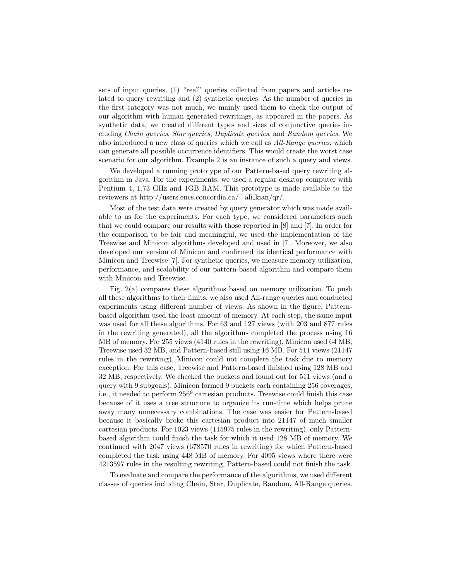sets of input queries, (1) "real" queries collected from papers and articles related to query rewriting and (2) synthetic queries. As the number of queries in the first category was not much, we mainly used them to check the output of our algorithm with human generated rewritings, as appeared in the papers. As synthetic data, we created different types and sizes of conjunctive queries including Chain queries, Star queries, Duplicate queries, and Random queries. We also introduced a new class of queries which we call as All-Range queries, which can generate all possible occurrence identifiers. This would create the worst case scenario for our algorithm. Example 2 is an instance of such a query and views.

We developed a running prototype of our Pattern-based query rewriting algorithm in Java. For the experiments, we used a regular desktop computer with Pentium 4, 1.73 GHz and 1GB RAM. This prototype is made available to the reviewers at http://users.encs.concordia.ca/˜ ali kian/qr/.

Most of the test data were created by query generator which was made available to us for the experiments. For each type, we considered parameters such that we could compare our results with those reported in [8] and [7]. In order for the comparison to be fair and meaningful, we used the implementation of the Treewise and Minicon algorithms developed and used in [7]. Moreover, we also developed our version of Minicon and confirmed its identical performance with Minicon and Treewise [7]. For synthetic queries, we measure memory utilization, performance, and scalability of our pattern-based algorithm and compare them with Minicon and Treewise.

Fig. 2(a) compares these algorithms based on memory utilization. To push all these algorithms to their limits, we also used All-range queries and conducted experiments using different number of views. As shown in the figure, Patternbased algorithm used the least amount of memory. At each step, the same input was used for all these algorithms. For 63 and 127 views (with 203 and 877 rules in the rewriting generated), all the algorithms completed the process using 16 MB of memory. For 255 views (4140 rules in the rewriting), Minicon used 64 MB, Treewise used 32 MB, and Pattern-based still using 16 MB. For 511 views (21147 rules in the rewriting), Minicon could not complete the task due to memory exception. For this case, Treewise and Pattern-based finished using 128 MB and 32 MB, respectively. We checked the buckets and found out for 511 views (and a query with 9 subgoals), Minicon formed 9 buckets each containing 256 coverages, i.e., it needed to perform 256<sup>9</sup> cartesian products. Treewise could finish this case because of it uses a tree structure to organize its run-time which helps prune away many unnecessary combinations. The case was easier for Pattern-based because it basically broke this cartesian product into 21147 of much smaller cartesian products. For 1023 views (115975 rules in the rewriting), only Patternbased algorithm could finish the task for which it used 128 MB of memory. We continued with 2047 views (678570 rules in rewriting) for which Pattern-based completed the task using 448 MB of memory. For 4095 views where there were 4213597 rules in the resulting rewriting, Pattern-based could not finish the task.

To evaluate and compare the performance of the algorithms, we used different classes of queries including Chain, Star, Duplicate, Random, All-Range queries.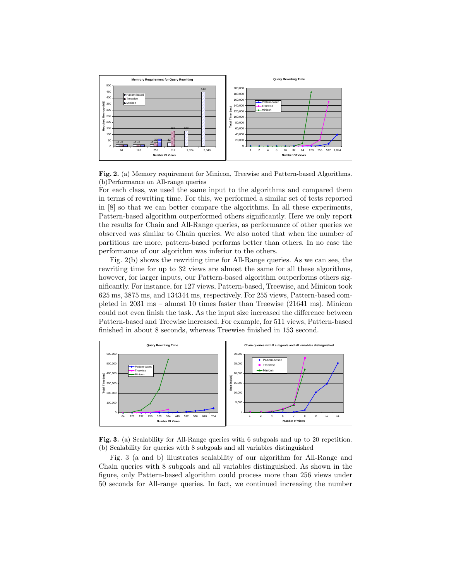

Fig. 2. (a) Memory requirement for Minicon, Treewise and Pattern-based Algorithms. (b)Performance on All-range queries

For each class, we used the same input to the algorithms and compared them in terms of rewriting time. For this, we performed a similar set of tests reported in [8] so that we can better compare the algorithms. In all these experiments, Pattern-based algorithm outperformed others significantly. Here we only report the results for Chain and All-Range queries, as performance of other queries we observed was similar to Chain queries. We also noted that when the number of partitions are more, pattern-based performs better than others. In no case the performance of our algorithm was inferior to the others.

Fig. 2(b) shows the rewriting time for All-Range queries. As we can see, the rewriting time for up to 32 views are almost the same for all these algorithms, however, for larger inputs, our Pattern-based algorithm outperforms others significantly. For instance, for 127 views, Pattern-based, Treewise, and Minicon took 625 ms, 3875 ms, and 134344 ms, respectively. For 255 views, Pattern-based completed in 2031 ms – almost 10 times faster than Treewise (21641 ms). Minicon could not even finish the task. As the input size increased the difference between Pattern-based and Treewise increased. For example, for 511 views, Pattern-based finished in about 8 seconds, whereas Treewise finished in 153 second.





Fig. 3 (a and b) illustrates scalability of our algorithm for All-Range and Chain queries with 8 subgoals and all variables distinguished. As shown in the figure, only Pattern-based algorithm could process more than 256 views under 50 seconds for All-range queries. In fact, we continued increasing the number